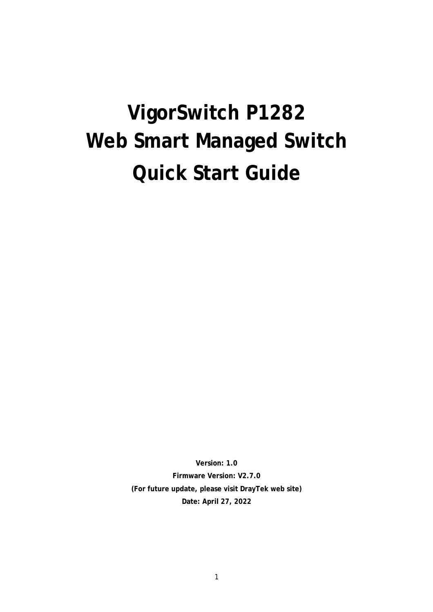# **VigorSwitch P1282 Web Smart Managed Switch Quick Start Guide**

**Version: 1.0 Firmware Version: V2.7.0 (For future update, please visit DrayTek web site) Date: April 27, 2022**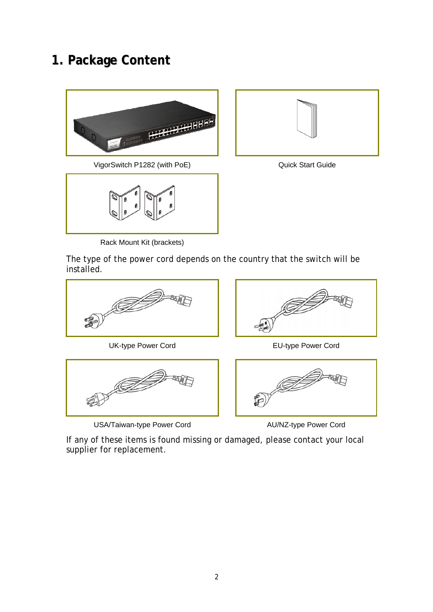## **1. Package Content**







Rack Mount Kit (brackets)



The type of the power cord depends on the country that the switch will be installed.



UK-type Power Cord **EU-type Power Cord** 



USA/Taiwan-type Power Cord Music Cord AU/NZ-type Power Cord





If any of these items is found missing or damaged, please contact your local supplier for replacement.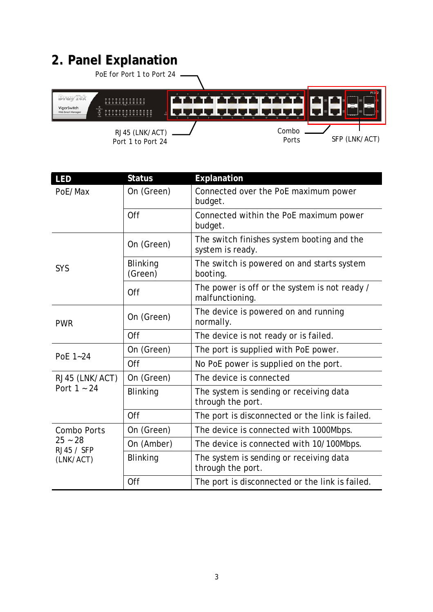# **2. Panel Explanation**

| PoE for Port 1 to Port 24           |                                                     |                           |
|-------------------------------------|-----------------------------------------------------|---------------------------|
| VigorSwitch<br>Veb Smart Manager    | an da da da da da da da da da da <mark>1</mark> 1 d | P1282<br><b>ANTI DE L</b> |
| RJ45 (LNK/ACT)<br>Port 1 to Port 24 | Combo<br>Ports                                      | SFP (LNK/ACT)             |

| LED                     | <b>Status</b>              | Explanation                                                      |  |
|-------------------------|----------------------------|------------------------------------------------------------------|--|
| PoE/Max                 | On (Green)                 | Connected over the PoE maximum power<br>budget.                  |  |
|                         | Off                        | Connected within the PoE maximum power<br>budget.                |  |
|                         | On (Green)                 | The switch finishes system booting and the<br>system is ready.   |  |
| SYS                     | <b>Blinking</b><br>(Green) | The switch is powered on and starts system<br>booting.           |  |
|                         | Off                        | The power is off or the system is not ready /<br>malfunctioning. |  |
| <b>PWR</b>              | On (Green)                 | The device is powered on and running<br>normally.                |  |
|                         | Off                        | The device is not ready or is failed.                            |  |
| PoE 1~24                | On (Green)                 | The port is supplied with PoE power.                             |  |
|                         | Off                        | No PoE power is supplied on the port.                            |  |
| RJ45 (LNK/ACT)          | On (Green)                 | The device is connected                                          |  |
| Port $1 - 24$           | Blinking                   | The system is sending or receiving data<br>through the port.     |  |
|                         | Off                        | The port is disconnected or the link is failed.                  |  |
| Combo Ports             | On (Green)                 | The device is connected with 1000Mbps.                           |  |
| $25 - 28$<br>RJ45 / SFP | On (Amber)                 | The device is connected with 10/100Mbps.                         |  |
| (LNK/ACT)               | <b>Blinking</b>            | The system is sending or receiving data<br>through the port.     |  |
|                         | Off                        | The port is disconnected or the link is failed.                  |  |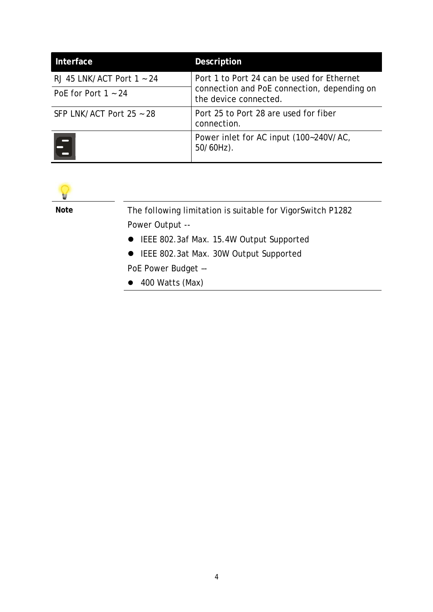| Interface                   | Description                                                          |  |  |
|-----------------------------|----------------------------------------------------------------------|--|--|
| RJ 45 LNK/ACT Port $1 - 24$ | Port 1 to Port 24 can be used for Ethernet                           |  |  |
| PoE for Port $1 - 24$       | connection and PoE connection, depending on<br>the device connected. |  |  |
| SFP LNK/ACT Port $25 - 28$  | Port 25 to Port 28 are used for fiber<br>connection.                 |  |  |
|                             | Power inlet for AC input (100~240V/AC,<br>$50/60$ Hz).               |  |  |



**Note** The following limitation is suitable for VigorSwitch P1282 Power Output --

- IEEE 802.3af Max. 15.4W Output Supported
- IEEE 802.3at Max. 30W Output Supported

PoE Power Budget –-

400 Watts (Max)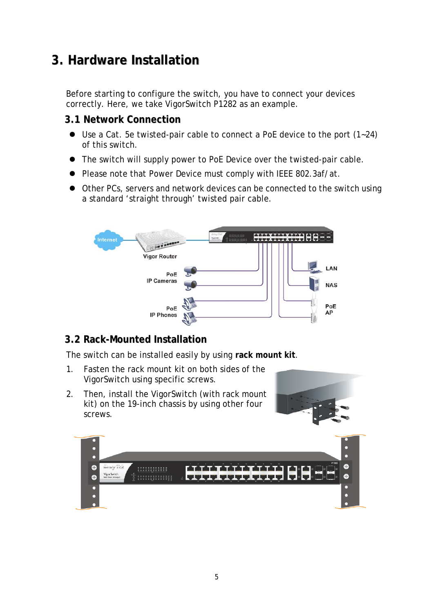# **3. Hardware Installation**

Before starting to configure the switch, you have to connect your devices correctly. Here, we take VigorSwitch P1282 as an example.

### **3.1 Network Connection**

- Use a Cat. 5e twisted-pair cable to connect a PoE device to the port (1~24) of this switch.
- The switch will supply power to PoE Device over the twisted-pair cable.
- Please note that Power Device must comply with IEEE 802.3af/at.
- Other PCs, servers and network devices can be connected to the switch using a standard 'straight through' twisted pair cable.



## **3.2 Rack-Mounted Installation**

The switch can be installed easily by using **rack mount kit**.

- 1. Fasten the rack mount kit on both sides of the VigorSwitch using specific screws.
- 2. Then, install the VigorSwitch (with rack mount kit) on the 19-inch chassis by using other four screws.



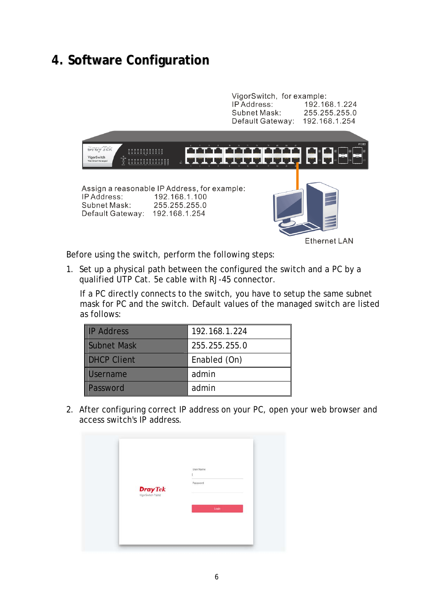## **4. Software Configuration**



Before using the switch, perform the following steps:

1. Set up a physical path between the configured the switch and a PC by a qualified UTP Cat. 5e cable with RJ-45 connector.

If a PC directly connects to the switch, you have to setup the same subnet mask for PC and the switch. Default values of the managed switch are listed as follows:

| <b>IP Address</b> | 192.168.1.224 |
|-------------------|---------------|
| Subnet Mask       | 255.255.255.0 |
| DHCP Client       | Enabled (On)  |
| Username          | admin         |
| <b>Password</b>   | admin         |

2. After configuring correct IP address on your PC, open your web browser and access switch's IP address.

| <b>DrayTek</b> | User Name<br>Password |
|----------------|-----------------------|
|                | Login                 |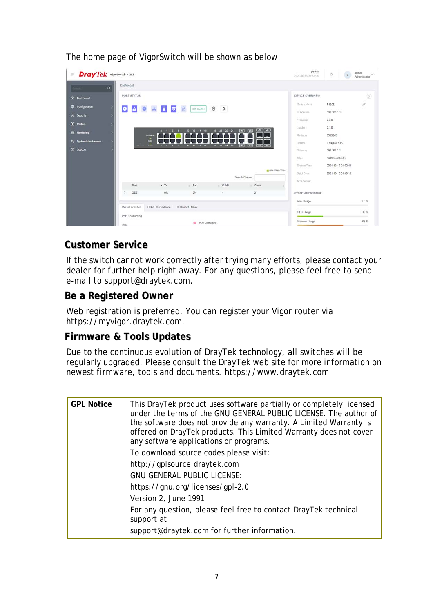| <b>Dray Tek</b> VigorSwitch P1282<br>$\equiv$ |                                   |                    |                              |              |                                 | P1282<br>2021-10-15 21:53:06 | $\Delta$            | $\rm _{a}$ | admin<br>$\sim$<br>Administrator |
|-----------------------------------------------|-----------------------------------|--------------------|------------------------------|--------------|---------------------------------|------------------------------|---------------------|------------|----------------------------------|
| Dashboard<br>$\alpha$                         |                                   |                    |                              |              |                                 |                              |                     |            |                                  |
| (2) Danhboard                                 | PORT STATUS                       |                    |                              |              |                                 | DEVICE OVERVIEW              |                     |            | $\circledcirc$                   |
| = Configuration                               |                                   |                    |                              |              |                                 | Device Name                  | P1282               |            | 0                                |
| $\bullet$<br>Security                         | $\bullet$ $\bullet$               | 日同<br>$\mathbb A$  | $\triangle$<br>0 iP Conflict | 壺<br>$\circ$ |                                 | IP Address                   | 192.168.1.11        |            |                                  |
| 88 Utilides                                   |                                   |                    |                              |              |                                 | Firmware                     | 2.7.0               |            |                                  |
|                                               |                                   | $2$ 4 6 6          | $10$ $12$ $14$ $16$          |              | 18 20 22 24 [36] [36] [36] [36] | Londer.                      | 2.1.0               |            |                                  |
| E2 Monitoring                                 | <b>PUEMER</b>                     |                    |                              |              |                                 | Revision                     | 95993d5             |            |                                  |
| System Maintenance                            | $\bar{m}$<br><b>PWR</b><br>Recall | 1 3 5 7            | 9 11 13 15                   | 17 19 21 23  | $[25]$ $[27]$ $[26]$ $[27]$     | <b>Uptime</b>                | 0 days 4:2:45       |            |                                  |
| <b>2</b> Support                              |                                   |                    |                              |              |                                 | Gateway                      | 192.168.1.1         |            |                                  |
|                                               |                                   |                    |                              |              |                                 | MAC.                         | 1449BC43CCFC        |            |                                  |
|                                               |                                   |                    |                              |              | E 10/100M/1000M                 | System Time                  | 2021-10-15 21:52:44 |            |                                  |
|                                               |                                   |                    |                              |              | Search Clients                  | Build Date                   | 2021-10-15 09:49:16 |            |                                  |
|                                               | Port                              | $+ Tx$             | Rx                           | $-MAN$       | Client                          | ACS Server                   |                     |            |                                  |
| $\sim$                                        | GE8                               | $0\%$              | 0%                           | 4            | $\overline{2}$                  | SYSTEM RESOURCE              |                     |            |                                  |
|                                               |                                   |                    |                              |              |                                 | PoE Usage                    |                     |            | $0.0 \%$                         |
|                                               | Recent Activities                 | ONVIF Surveillance | IP Conflict Status           |              |                                 |                              |                     |            |                                  |
|                                               | PoE Consuming                     |                    |                              |              |                                 | CPU Usage                    |                     |            | 36 %                             |
|                                               |                                   |                    |                              |              |                                 | Memory Usage                 |                     |            |                                  |

The home page of VigorSwitch will be shown as below:

## **Customer Service**

If the switch cannot work correctly after trying many efforts, please contact your dealer for further help right away. For any questions, please feel free to send e-mail to support@draytek.com.

## **Be a Registered Owner**

Web registration is preferred. You can register your Vigor router via https://myvigor.draytek.com.

## **Firmware & Tools Updates**

Due to the continuous evolution of DrayTek technology, all switches will be regularly upgraded. Please consult the DrayTek web site for more information on newest firmware, tools and documents. https://www.draytek.com

| <b>GPL Notice</b> | This DrayTek product uses software partially or completely licensed<br>under the terms of the GNU GENERAL PUBLIC LICENSE. The author of<br>the software does not provide any warranty. A Limited Warranty is<br>offered on DrayTek products. This Limited Warranty does not cover<br>any software applications or programs.<br>To download source codes please visit:<br>http://gplsource.draytek.com<br>GNU GENERAL PUBLIC LICENSE:<br>https://gnu.org/licenses/gpl-2.0<br>Version 2, June 1991<br>For any question, please feel free to contact DrayTek technical<br>support at<br>support@draytek.com for further information. |
|-------------------|-----------------------------------------------------------------------------------------------------------------------------------------------------------------------------------------------------------------------------------------------------------------------------------------------------------------------------------------------------------------------------------------------------------------------------------------------------------------------------------------------------------------------------------------------------------------------------------------------------------------------------------|
|-------------------|-----------------------------------------------------------------------------------------------------------------------------------------------------------------------------------------------------------------------------------------------------------------------------------------------------------------------------------------------------------------------------------------------------------------------------------------------------------------------------------------------------------------------------------------------------------------------------------------------------------------------------------|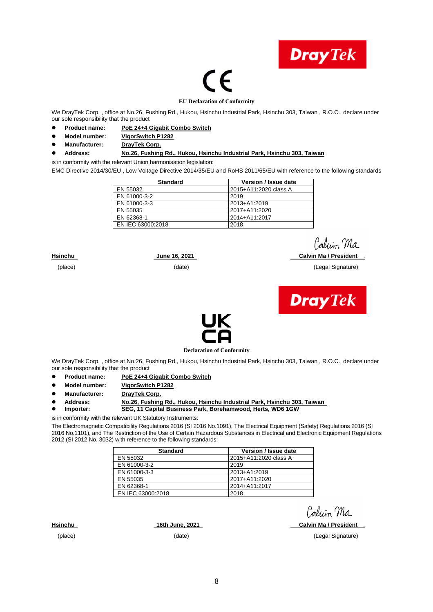

# (F

#### **EU Declaration of Conformity**

We DrayTek Corp. , office at No.26, Fushing Rd., Hukou, Hsinchu Industrial Park, Hsinchu 303, Taiwan , R.O.C., declare under our sole responsibility that the product

- **Product name: PoE 24+4 Gigabit Combo Switch**
- **Model number: VigorSwitch P1282**
- **Manufacturer: DrayTek Corp.**

#### **Address: No.26, Fushing Rd., Hukou, Hsinchu Industrial Park, Hsinchu 303, Taiwan**

is in conformity with the relevant Union harmonisation legislation:

EMC Directive 2014/30/EU , Low Voltage Directive 2014/35/EU and RoHS 2011/65/EU with reference to the following standards

| <b>Standard</b>   | Version / Issue date  |
|-------------------|-----------------------|
| EN 55032          | 2015+A11:2020 class A |
| EN 61000-3-2      | 2019                  |
| EN 61000-3-3      | 2013+A1:2019          |
| EN 55035          | 2017+A11:2020         |
| EN 62368-1        | 2014+A11:2017         |
| EN IEC 63000:2018 | 2018                  |

#### **Hsinchu June 16, 2021 Calvin Ma / President** .

(place) (date) (Legal Signature)

Calcin Ma





**Declaration of Conformity** 

We DrayTek Corp. , office at No.26, Fushing Rd., Hukou, Hsinchu Industrial Park, Hsinchu 303, Taiwan , R.O.C., declare under our sole responsibility that the product

- **Product name: PoE 24+4 Gigabit Combo Switch**
- **Model number: VigorSwitch P1282**
- **Manufacturer: DrayTek Corp.**
- Address: <u>No.26, Fushing Rd., Hukou, Hsinchu Industrial Park, Hsinchu 303, Taiwan</u><br>● Importer: SEG 11 Canital Business Park, Borehamwood, Herts, WD6 1GW
	- **Importer: SEG, 11 Capital Business Park, Borehamwood, Herts, WD6 1GW**

is in conformity with the relevant UK Statutory Instruments:

The Electromagnetic Compatibility Regulations 2016 (SI 2016 No.1091), The Electrical Equipment (Safety) Regulations 2016 (SI 2016 No.1101), and The Restriction of the Use of Certain Hazardous Substances in Electrical and Electronic Equipment Regulations 2012 (SI 2012 No. 3032) with reference to the following standards:

| <b>Standard</b>   | Version / Issue date  |
|-------------------|-----------------------|
| EN 55032          | 2015+A11:2020 class A |
| EN 61000-3-2      | 2019                  |
| EN 61000-3-3      | 2013+A1:2019          |
| EN 55035          | 2017+A11:2020         |
| EN 62368-1        | 2014+A11:2017         |
| EN IEC 63000:2018 | 2018                  |

Caluin Ma

**Hsinchu 16th June, 2021 Calvin Ma / President** .

(place) (date) (Legal Signature)

8